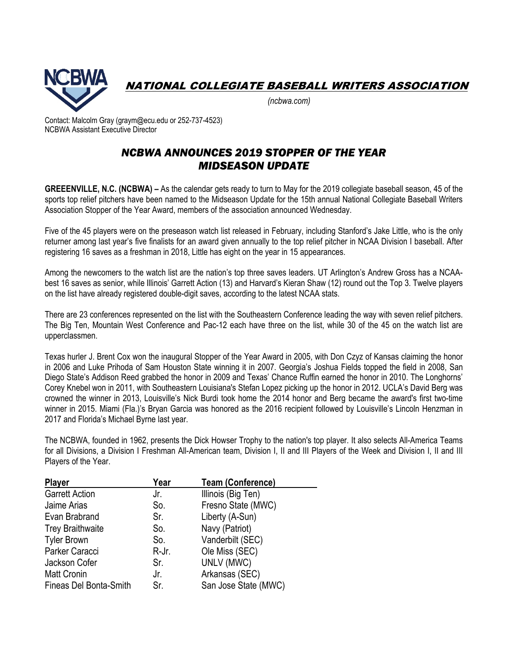

NATIONAL COLLEGIATE BASEBALL WRITERS ASSOCIATION

*(ncbwa.com)* 

Contact: Malcolm Gray (graym@ecu.edu or 252-737-4523) NCBWA Assistant Executive Director

## *NCBWA ANNOUNCES 2019 STOPPER OF THE YEAR MIDSEASON UPDATE*

**GREEENVILLE, N.C. (NCBWA) –** As the calendar gets ready to turn to May for the 2019 collegiate baseball season, 45 of the sports top relief pitchers have been named to the Midseason Update for the 15th annual National Collegiate Baseball Writers Association Stopper of the Year Award, members of the association announced Wednesday.

Five of the 45 players were on the preseason watch list released in February, including Stanford's Jake Little, who is the only returner among last year's five finalists for an award given annually to the top relief pitcher in NCAA Division I baseball. After registering 16 saves as a freshman in 2018, Little has eight on the year in 15 appearances.

Among the newcomers to the watch list are the nation's top three saves leaders. UT Arlington's Andrew Gross has a NCAAbest 16 saves as senior, while Illinois' Garrett Action (13) and Harvard's Kieran Shaw (12) round out the Top 3. Twelve players on the list have already registered double-digit saves, according to the latest NCAA stats.

There are 23 conferences represented on the list with the Southeastern Conference leading the way with seven relief pitchers. The Big Ten, Mountain West Conference and Pac-12 each have three on the list, while 30 of the 45 on the watch list are upperclassmen.

Texas hurler J. Brent Cox won the inaugural Stopper of the Year Award in 2005, with Don Czyz of Kansas claiming the honor in 2006 and Luke Prihoda of Sam Houston State winning it in 2007. Georgia's Joshua Fields topped the field in 2008, San Diego State's Addison Reed grabbed the honor in 2009 and Texas' Chance Ruffin earned the honor in 2010. The Longhorns' Corey Knebel won in 2011, with Southeastern Louisiana's Stefan Lopez picking up the honor in 2012. UCLA's David Berg was crowned the winner in 2013, Louisville's Nick Burdi took home the 2014 honor and Berg became the award's first two-time winner in 2015. Miami (Fla.)'s Bryan Garcia was honored as the 2016 recipient followed by Louisville's Lincoln Henzman in 2017 and Florida's Michael Byrne last year.

The NCBWA, founded in 1962, presents the Dick Howser Trophy to the nation's top player. It also selects All-America Teams for all Divisions, a Division I Freshman All-American team, Division I, II and III Players of the Week and Division I, II and III Players of the Year.

| <b>Player</b>                 | Year  | <b>Team (Conference)</b> |
|-------------------------------|-------|--------------------------|
| <b>Garrett Action</b>         | Jr.   | Illinois (Big Ten)       |
| Jaime Arias                   | So.   | Fresno State (MWC)       |
| Evan Brabrand                 | Sr.   | Liberty (A-Sun)          |
| <b>Trey Braithwaite</b>       | So.   | Navy (Patriot)           |
| <b>Tyler Brown</b>            | So.   | Vanderbilt (SEC)         |
| Parker Caracci                | R-Jr. | Ole Miss (SEC)           |
| Jackson Cofer                 | Sr.   | UNLV (MWC)               |
| <b>Matt Cronin</b>            | Jr.   | Arkansas (SEC)           |
| <b>Fineas Del Bonta-Smith</b> | Sr.   | San Jose State (MWC)     |